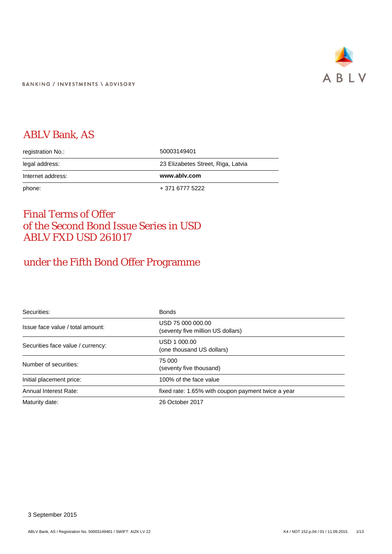

# ABLV Bank, AS

| registration No.: | 50003149401                        |
|-------------------|------------------------------------|
| legal address:    | 23 Elizabetes Street, Riga, Latvia |
| Internet address: | www.ablv.com                       |
|                   |                                    |

# Final Terms of Offer of the Second Bond Issue Series in USD ABLV FXD USD 261017

# under the Fifth Bond Offer Programme

| Securities:                       | <b>Bonds</b>                                           |
|-----------------------------------|--------------------------------------------------------|
| Issue face value / total amount:  | USD 75 000 000.00<br>(seventy five million US dollars) |
| Securities face value / currency: | USD 1 000,00<br>(one thousand US dollars)              |
| Number of securities:             | 75 000<br>(seventy five thousand)                      |
| Initial placement price:          | 100% of the face value                                 |
| Annual Interest Rate:             | fixed rate: 1.65% with coupon payment twice a year     |
| Maturity date:                    | 26 October 2017                                        |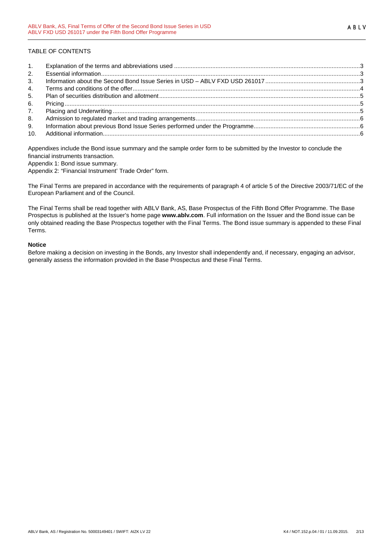# TABLE OF CONTENTS

| 1.             |  |
|----------------|--|
| 2.             |  |
| 3 <sub>1</sub> |  |
| 4.             |  |
| 5.             |  |
| 6.             |  |
| 7 <sub>1</sub> |  |
| 8.             |  |
| 9.             |  |
| 10.            |  |

Appendixes include the Bond issue summary and the sample order form to be submitted by the Investor to conclude the financial instruments transaction.

Appendix 1: Bond issue summary.

Appendix 2: "Financial Instrument' Trade Order" form.

The Final Terms are prepared in accordance with the requirements of paragraph 4 of article 5 of the Directive 2003/71/EC of the European Parliament and of the Council.

The Final Terms shall be read together with ABLV Bank, AS, Base Prospectus of the Fifth Bond Offer Programme. The Base Prospectus is published at the Issuer's home page **www.ablv.com**. Full information on the Issuer and the Bond issue can be only obtained reading the Base Prospectus together with the Final Terms. The Bond issue summary is appended to these Final Terms.

#### **Notice**

Before making a decision on investing in the Bonds, any Investor shall independently and, if necessary, engaging an advisor, generally assess the information provided in the Base Prospectus and these Final Terms.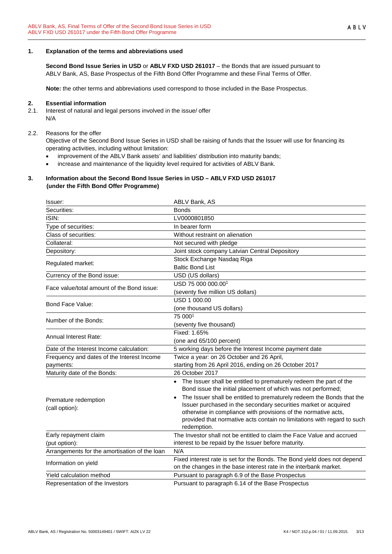## <span id="page-2-0"></span>**1. Explanation of the terms and abbreviations used**

**Second Bond Issue Series in USD** or **ABLV FXD USD 261017** – the Bonds that are issued pursuant to ABLV Bank, AS, Base Prospectus of the Fifth Bond Offer Programme and these Final Terms of Offer.

**Note:** the other terms and abbreviations used correspond to those included in the Base Prospectus.

#### <span id="page-2-1"></span>**2. Essential information**

2.1. Interest of natural and legal persons involved in the issue/ offer N/A

#### 2.2. Reasons for the offer

Objective of the Second Bond Issue Series in USD shall be raising of funds that the Issuer will use for financing its operating activities, including without limitation:

- improvement of the ABLV Bank assets' and liabilities' distribution into maturity bands;
- increase and maintenance of the liquidity level required for activities of ABLV Bank.

#### <span id="page-2-2"></span>**3. Information about the Second Bond Issue Series in USD – ABLV FXD USD 261017 (under the Fifth Bond Offer Programme)**

| Issuer:                                       | ABLV Bank, AS                                                                                                                        |
|-----------------------------------------------|--------------------------------------------------------------------------------------------------------------------------------------|
| Securities:                                   | <b>Bonds</b>                                                                                                                         |
| ISIN:                                         | LV0000801850                                                                                                                         |
| Type of securities:                           | In bearer form                                                                                                                       |
| Class of securities:                          | Without restraint on alienation                                                                                                      |
| Collateral:                                   | Not secured with pledge                                                                                                              |
| Depository:                                   | Joint stock company Latvian Central Depository                                                                                       |
| Regulated market:                             | Stock Exchange Nasdaq Riga                                                                                                           |
|                                               | <b>Baltic Bond List</b>                                                                                                              |
| Currency of the Bond issue:                   | USD (US dollars)                                                                                                                     |
| Face value/total amount of the Bond issue:    | USD 75 000 000.00 <sup>1</sup>                                                                                                       |
|                                               | (seventy five million US dollars)                                                                                                    |
| Bond Face Value:                              | USD 1 000.00                                                                                                                         |
|                                               | (one thousand US dollars)                                                                                                            |
| Number of the Bonds:                          | 75 0001                                                                                                                              |
|                                               | (seventy five thousand)                                                                                                              |
| <b>Annual Interest Rate:</b>                  | Fixed: 1.65%                                                                                                                         |
|                                               | (one and 65/100 percent)                                                                                                             |
| Date of the Interest Income calculation:      | 5 working days before the Interest Income payment date                                                                               |
| Frequency and dates of the Interest Income    | Twice a year: on 26 October and 26 April,                                                                                            |
| payments:                                     | starting from 26 April 2016, ending on 26 October 2017                                                                               |
| Maturity date of the Bonds:                   | 26 October 2017                                                                                                                      |
|                                               | • The Issuer shall be entitled to prematurely redeem the part of the<br>Bond issue the initial placement of which was not performed; |
| Premature redemption                          | The Issuer shall be entitled to prematurely redeem the Bonds that the                                                                |
| (call option):                                | Issuer purchased in the secondary securities market or acquired                                                                      |
|                                               | otherwise in compliance with provisions of the normative acts,                                                                       |
|                                               | provided that normative acts contain no limitations with regard to such<br>redemption.                                               |
| Early repayment claim                         | The Investor shall not be entitled to claim the Face Value and accrued                                                               |
| (put option):                                 | interest to be repaid by the Issuer before maturity.                                                                                 |
| Arrangements for the amortisation of the loan | N/A                                                                                                                                  |
|                                               | Fixed interest rate is set for the Bonds. The Bond yield does not depend                                                             |
| Information on yield                          | on the changes in the base interest rate in the interbank market.                                                                    |
| Yield calculation method                      | Pursuant to paragraph 6.9 of the Base Prospectus                                                                                     |
| Representation of the Investors               | Pursuant to paragraph 6.14 of the Base Prospectus                                                                                    |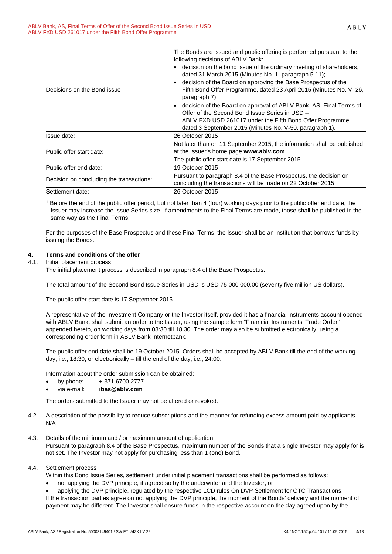The Bonds are issued and public offering is performed pursuant to the following decisions of ABLV Bank:

|                                          | • decision on the bond issue of the ordinary meeting of shareholders,<br>dated 31 March 2015 (Minutes No. 1, paragraph 5.11);<br>• decision of the Board on approving the Base Prospectus of the                                               |
|------------------------------------------|------------------------------------------------------------------------------------------------------------------------------------------------------------------------------------------------------------------------------------------------|
| Decisions on the Bond issue              | Fifth Bond Offer Programme, dated 23 April 2015 (Minutes No. V-26,<br>paragraph $7$ ;                                                                                                                                                          |
|                                          | • decision of the Board on approval of ABLV Bank, AS, Final Terms of<br>Offer of the Second Bond Issue Series in USD -<br>ABLV FXD USD 261017 under the Fifth Bond Offer Programme,<br>dated 3 September 2015 (Minutes No. V-50, paragraph 1). |
| Issue date:                              | 26 October 2015                                                                                                                                                                                                                                |
| Public offer start date:                 | Not later than on 11 September 2015, the information shall be published<br>at the Issuer's home page www.ablv.com<br>The public offer start date is 17 September 2015                                                                          |
| Public offer end date:                   | 19 October 2015                                                                                                                                                                                                                                |
| Decision on concluding the transactions: | Pursuant to paragraph 8.4 of the Base Prospectus, the decision on<br>concluding the transactions will be made on 22 October 2015                                                                                                               |
| Settlement date:                         | 26 October 2015                                                                                                                                                                                                                                |

<sup>1</sup> Before the end of the public offer period, but not later than 4 (four) working days prior to the public offer end date, the Issuer may increase the Issue Series size. If amendments to the Final Terms are made, those shall be published in the same way as the Final Terms.

For the purposes of the Base Prospectus and these Final Terms, the Issuer shall be an institution that borrows funds by issuing the Bonds.

## <span id="page-3-0"></span>**4. Terms and conditions of the offer**

## 4.1. Initial placement process

The initial placement process is described in paragraph 8.4 of the Base Prospectus.

The total amount of the Second Bond Issue Series in USD is USD 75 000 000.00 (seventy five million US dollars).

The public offer start date is 17 September 2015.

A representative of the Investment Company or the Investor itself, provided it has a financial instruments account opened with ABLV Bank, shall submit an order to the Issuer, using the sample form "Financial Instruments' Trade Order" appended hereto, on working days from 08:30 till 18:30. The order may also be submitted electronically, using a corresponding order form in ABLV Bank Internetbank.

The public offer end date shall be 19 October 2015. Orders shall be accepted by ABLV Bank till the end of the working day, i.e., 18:30, or electronically – till the end of the day, i.e., 24:00.

Information about the order submission can be obtained:

- by phone: + 371 6700 2777
- via e-mail: **ibas@ablv.com**

The orders submitted to the Issuer may not be altered or revoked.

- 4.2. A description of the possibility to reduce subscriptions and the manner for refunding excess amount paid by applicants N/A
- 4.3. Details of the minimum and / or maximum amount of application Pursuant to paragraph 8.4 of the Base Prospectus, maximum number of the Bonds that a single Investor may apply for is not set. The Investor may not apply for purchasing less than 1 (one) Bond.

#### 4.4. Settlement process

Within this Bond Issue Series, settlement under initial placement transactions shall be performed as follows:

• not applying the DVP principle, if agreed so by the underwriter and the Investor, or

• applying the DVP principle, regulated by the respective LCD rules On DVP Settlement for OTC Transactions. If the transaction parties agree on not applying the DVP principle, the moment of the Bonds' delivery and the moment of payment may be different. The Investor shall ensure funds in the respective account on the day agreed upon by the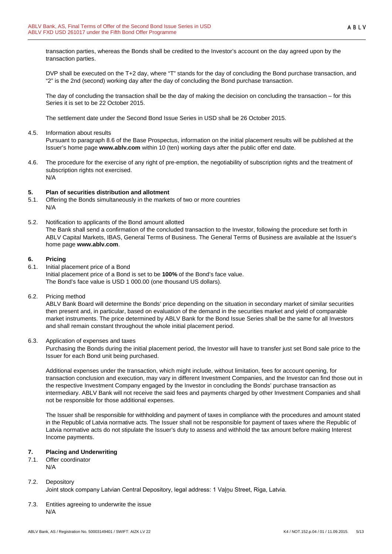transaction parties, whereas the Bonds shall be credited to the Investor's account on the day agreed upon by the transaction parties.

DVP shall be executed on the T+2 day, where "T" stands for the day of concluding the Bond purchase transaction, and "2" is the 2nd (second) working day after the day of concluding the Bond purchase transaction.

The day of concluding the transaction shall be the day of making the decision on concluding the transaction – for this Series it is set to be 22 October 2015.

The settlement date under the Second Bond Issue Series in USD shall be 26 October 2015.

4.5. Information about results

Pursuant to paragraph 8.6 of the Base Prospectus, information on the initial placement results will be published at the Issuer's home page **www.ablv.com** within 10 (ten) working days after the public offer end date.

4.6. The procedure for the exercise of any right of pre-emption, the negotiability of subscription rights and the treatment of subscription rights not exercised. N/A

## <span id="page-4-0"></span>**5. Plan of securities distribution and allotment**

- 5.1. Offering the Bonds simultaneously in the markets of two or more countries N/A
- 5.2. Notification to applicants of the Bond amount allotted The Bank shall send a confirmation of the concluded transaction to the Investor, following the procedure set forth in ABLV Capital Markets, IBAS, General Terms of Business. The General Terms of Business are available at the Issuer's home page **[www.ablv.com](http://www.ablv.com/)**.

## <span id="page-4-1"></span>**6. Pricing**

- 6.1. Initial placement price of a Bond Initial placement price of a Bond is set to be **100%** of the Bond's face value. The Bond's face value is USD 1 000.00 (one thousand US dollars).
- 6.2. Pricing method

ABLV Bank Board will determine the Bonds' price depending on the situation in secondary market of similar securities then present and, in particular, based on evaluation of the demand in the securities market and yield of comparable market instruments. The price determined by ABLV Bank for the Bond Issue Series shall be the same for all Investors and shall remain constant throughout the whole initial placement period.

6.3. Application of expenses and taxes

Purchasing the Bonds during the initial placement period, the Investor will have to transfer just set Bond sale price to the Issuer for each Bond unit being purchased.

Additional expenses under the transaction, which might include, without limitation, fees for account opening, for transaction conclusion and execution, may vary in different Investment Companies, and the Investor can find those out in the respective Investment Company engaged by the Investor in concluding the Bonds' purchase transaction as intermediary. ABLV Bank will not receive the said fees and payments charged by other Investment Companies and shall not be responsible for those additional expenses.

The Issuer shall be responsible for withholding and payment of taxes in compliance with the procedures and amount stated in the Republic of Latvia normative acts. The Issuer shall not be responsible for payment of taxes where the Republic of Latvia normative acts do not stipulate the Issuer's duty to assess and withhold the tax amount before making Interest Income payments.

# <span id="page-4-2"></span>**7. Placing and Underwriting**

7.1. Offer coordinator N/A

# 7.2. Depository

Joint stock company Latvian Central Depository, legal address: 1 Vaļņu Street, Riga, Latvia.

7.3. Entities agreeing to underwrite the issue N/A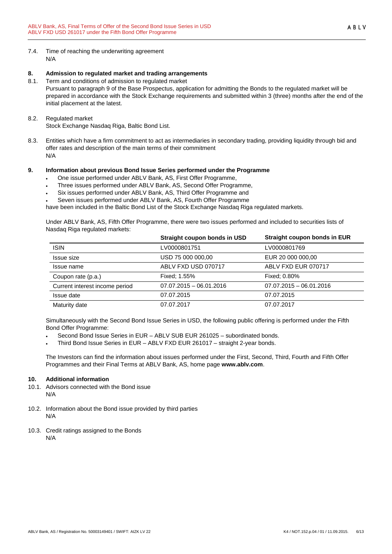7.4. Time of reaching the underwriting agreement N/A

## <span id="page-5-0"></span>**8. Admission to regulated market and trading arrangements**

- 8.1. Term and conditions of admission to regulated market Pursuant to paragraph 9 of the Base Prospectus, application for admitting the Bonds to the regulated market will be prepared in accordance with the Stock Exchange requirements and submitted within 3 (three) months after the end of the initial placement at the latest.
- 8.2. Regulated market Stock Exchange Nasdaq Riga, Baltic Bond List.
- 8.3. Entities which have a firm commitment to act as intermediaries in secondary trading, providing liquidity through bid and offer rates and description of the main terms of their commitment N/A

# <span id="page-5-1"></span>**9. Information about previous Bond Issue Series performed under the Programme**

- One issue performed under ABLV Bank, AS, First Offer Programme,
- Three issues performed under ABLV Bank, AS, Second Offer Programme,
- Six issues performed under ABLV Bank, AS, Third Offer Programme and
- Seven issues performed under ABLV Bank, AS, Fourth Offer Programme

have been included in the Baltic Bond List of the Stock Exchange Nasdaq Riga regulated markets.

Under ABLV Bank, AS, Fifth Offer Programme, there were two issues performed and included to securities lists of Nasdaq Riga regulated markets:

|                                | Straight coupon bonds in USD | Straight coupon bonds in EUR |
|--------------------------------|------------------------------|------------------------------|
| <b>ISIN</b>                    | LV0000801751                 | LV0000801769                 |
| Issue size                     | USD 75 000 000,00            | EUR 20 000 000,00            |
| Issue name                     | ABLV FXD USD 070717          | ABLV FXD EUR 070717          |
| Coupon rate (p.a.)             | Fixed: 1.55%                 | Fixed: 0.80%                 |
| Current interest income period | $07.07.2015 - 06.01.2016$    | $07.07.2015 - 06.01.2016$    |
| Issue date                     | 07.07.2015                   | 07.07.2015                   |
| Maturity date                  | 07.07.2017                   | 07.07.2017                   |

Simultaneously with the Second Bond Issue Series in USD, the following public offering is performed under the Fifth Bond Offer Programme:

- Second Bond Issue Series in EUR ABLV SUB EUR 261025 subordinated bonds.
- Third Bond Issue Series in EUR ABLV FXD EUR 261017 straight 2-year bonds.

The Investors can find the information about issues performed under the First, Second, Third, Fourth and Fifth Offer Programmes and their Final Terms at ABLV Bank, AS, home page **[www.ablv.com](http://www.ablv.com/)**.

# <span id="page-5-2"></span>**10. Additional information**

- 10.1. Advisors connected with the Bond issue N/A
- 10.2. Information about the Bond issue provided by third parties N/A
- 10.3. Credit ratings assigned to the Bonds N/A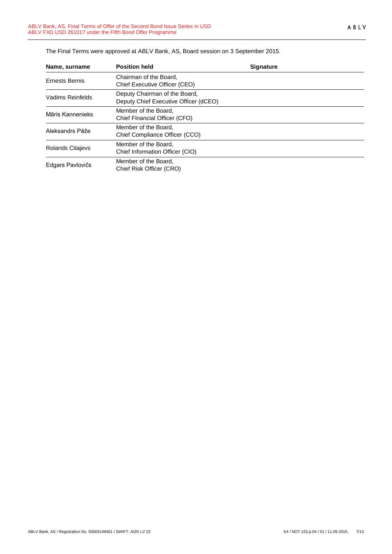| Name, surname           | <b>Position held</b>                                                   | <b>Signature</b> |  |
|-------------------------|------------------------------------------------------------------------|------------------|--|
| <b>Ernests Bernis</b>   | Chairman of the Board,<br>Chief Executive Officer (CEO)                |                  |  |
| Vadims Reinfelds        | Deputy Chairman of the Board,<br>Deputy Chief Executive Officer (dCEO) |                  |  |
| Māris Kannenieks        | Member of the Board,<br>Chief Financial Officer (CFO)                  |                  |  |
| Aleksandrs Pāže         | Member of the Board.<br>Chief Compliance Officer (CCO)                 |                  |  |
| <b>Rolands Citajevs</b> | Member of the Board.<br>Chief Information Officer (CIO)                |                  |  |
| Edgars Pavlovičs        | Member of the Board,<br>Chief Risk Officer (CRO)                       |                  |  |

The Final Terms were approved at ABLV Bank, AS, Board session on 3 September 2015.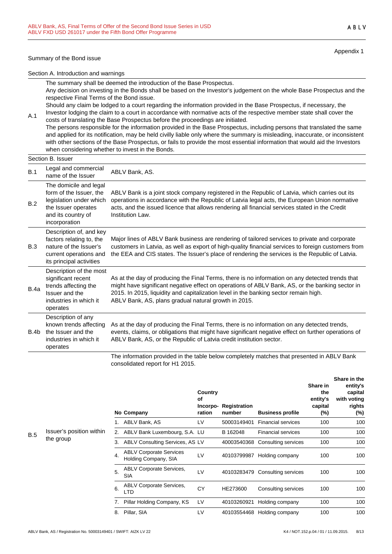#### Summary of the Bond issue

Appendix 1

ABLV

Section A. Introduction and warnings

The summary shall be deemed the introduction of the Base Prospectus. Any decision on investing in the Bonds shall be based on the Investor's judgement on the whole Base Prospectus and the respective Final Terms of the Bond issue.

Should any claim be lodged to a court regarding the information provided in the Base Prospectus, if necessary, the Investor lodging the claim to a court in accordance with normative acts of the respective member state shall cover the

A.1 costs of translating the Base Prospectus before the proceedings are initiated. The persons responsible for the information provided in the Base Prospectus, including persons that translated the same and applied for its notification, may be held civilly liable only where the summary is misleading, inaccurate, or inconsistent with other sections of the Base Prospectus, or fails to provide the most essential information that would aid the Investors when considering whether to invest in the Bonds.

# Section B. Issuer

|      | טטטע. וטאסט                                                                                                                                |                                                                                                                                                                                                                                                                                                                                                    |
|------|--------------------------------------------------------------------------------------------------------------------------------------------|----------------------------------------------------------------------------------------------------------------------------------------------------------------------------------------------------------------------------------------------------------------------------------------------------------------------------------------------------|
| B.1  | Legal and commercial<br>name of the Issuer                                                                                                 | ABLV Bank, AS.                                                                                                                                                                                                                                                                                                                                     |
| B.2  | The domicile and legal<br>form of the Issuer, the<br>legislation under which<br>the Issuer operates<br>and its country of<br>incorporation | ABLV Bank is a joint stock company registered in the Republic of Latvia, which carries out its<br>operations in accordance with the Republic of Latvia legal acts, the European Union normative<br>acts, and the issued licence that allows rendering all financial services stated in the Credit<br>Institution Law.                              |
| B.3  | Description of, and key<br>factors relating to, the<br>nature of the Issuer's<br>current operations and<br>its principal activities        | Major lines of ABLV Bank business are rendering of tailored services to private and corporate<br>customers in Latvia, as well as export of high-quality financial services to foreign customers from<br>the EEA and CIS states. The Issuer's place of rendering the services is the Republic of Latvia.                                            |
| B.4a | Description of the most<br>significant recent<br>trends affecting the<br>Issuer and the<br>industries in which it<br>operates              | As at the day of producing the Final Terms, there is no information on any detected trends that<br>might have significant negative effect on operations of ABLV Bank, AS, or the banking sector in<br>2015. In 2015, liquidity and capitalization level in the banking sector remain high.<br>ABLV Bank, AS, plans gradual natural growth in 2015. |
| B.4b | Description of any<br>known trends affecting<br>the Issuer and the<br>industries in which it<br>operates                                   | As at the day of producing the Final Terms, there is no information on any detected trends,<br>events, claims, or obligations that might have significant negative effect on further operations of<br>ABLV Bank, AS, or the Republic of Latvia credit institution sector.                                                                          |
|      |                                                                                                                                            | .                                                                                                                                                                                                                                                                                                                                                  |

The information provided in the table below completely matches that presented in ABLV Bank consolidated report for H1 2015.

|          |    | No Company                                             | Country<br>Οf<br>Incorpo-<br>ration | Registration<br>number | <b>Business profile</b>         | Share in<br>the<br>entity's<br>capital<br>(%) | טווטוס ווו עווט<br>entity's<br>capital<br>with voting<br>rights<br>(%) |
|----------|----|--------------------------------------------------------|-------------------------------------|------------------------|---------------------------------|-----------------------------------------------|------------------------------------------------------------------------|
|          | 1. | ABLV Bank, AS                                          | LV                                  | 50003149401            | <b>Financial services</b>       | 100                                           | 100                                                                    |
| ו within |    | 2. ABLV Bank Luxembourg, S.A. LU                       |                                     | B 162048               | <b>Financial services</b>       | 100                                           | 100                                                                    |
|          | 3. | ABLV Consulting Services, AS LV                        |                                     | 40003540368            | Consulting services             | 100                                           | 100                                                                    |
|          | 4. | <b>ABLV Corporate Services</b><br>Holding Company, SIA | LV                                  | 40103799987            | Holding company                 | 100                                           | 100                                                                    |
|          | 5. | <b>ABLV Corporate Services,</b><br><b>SIA</b>          | LV                                  |                        | 40103283479 Consulting services | 100                                           | 100                                                                    |
|          | 6. | <b>ABLV Corporate Services,</b><br>LTD.                | СY                                  | HE273600               | Consulting services             | 100                                           | 100                                                                    |
|          | 7. | Pillar Holding Company, KS                             | LV                                  | 40103260921            | Holding company                 | 100                                           | 100                                                                    |
|          | 8. | Pillar, SIA                                            | LV                                  |                        | 40103554468 Holding company     | 100                                           | 100                                                                    |

#### B.5 Issuer's position the group

**Share in the**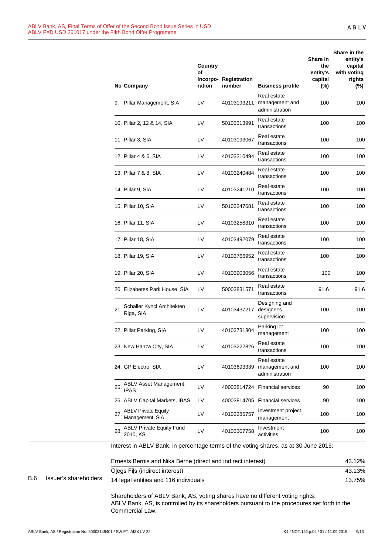|     |                       | No Company                                                                           | Country<br>οf<br>ration | Incorpo-Registration<br>number | <b>Business profile</b>                         | Share in<br>the<br>entity's<br>capital<br>(%) | Share in the<br>entity's<br>capital<br>with voting<br>rights<br>$(\%)$ |
|-----|-----------------------|--------------------------------------------------------------------------------------|-------------------------|--------------------------------|-------------------------------------------------|-----------------------------------------------|------------------------------------------------------------------------|
|     |                       | 9. Pillar Management, SIA                                                            | LV                      | 40103193211                    | Real estate<br>management and<br>administration | 100                                           | 100                                                                    |
|     |                       | 10. Pillar 2, 12 & 14, SIA                                                           | LV                      | 50103313991                    | Real estate<br>transactions                     | 100                                           | 100                                                                    |
|     |                       | 11. Pillar 3, SIA                                                                    | LV                      | 40103193067                    | Real estate<br>transactions                     | 100                                           | 100                                                                    |
|     |                       | 12. Pillar 4 & 6, SIA                                                                | LV                      | 40103210494                    | Real estate<br>transactions                     | 100                                           | 100                                                                    |
|     |                       | 13. Pillar 7 & 8, SIA                                                                | LV                      | 40103240484                    | Real estate<br>transactions                     | 100                                           | 100                                                                    |
|     |                       | 14. Pillar 9, SIA                                                                    | LV                      | 40103241210                    | Real estate<br>transactions                     | 100                                           | 100                                                                    |
|     |                       | 15. Pillar 10, SIA                                                                   | LV                      | 50103247681                    | Real estate<br>transactions                     | 100                                           | 100                                                                    |
|     |                       | 16. Pillar 11, SIA                                                                   | LV                      | 40103258310                    | Real estate<br>transactions                     | 100                                           | 100                                                                    |
|     |                       | 17. Pillar 18, SIA                                                                   | LV                      | 40103492079                    | Real estate<br>transactions                     | 100                                           | 100                                                                    |
|     |                       | 18. Pillar 19, SIA                                                                   | LV                      | 40103766952                    | Real estate<br>transactions                     | 100                                           | 100                                                                    |
|     |                       | 19. Pillar 20, SIA                                                                   | LV                      | 40103903056                    | Real estate<br>transactions                     | 100                                           | 100                                                                    |
|     |                       | 20. Elizabetes Park House, SIA                                                       | LV                      | 50003831571                    | Real estate<br>transactions                     | 91.6                                          | 91.6                                                                   |
|     |                       | Schaller Kyncl Architekten<br>21.<br>Riga, SIA                                       | LV                      | 40103437217                    | Designing and<br>designer's<br>supervision      | 100                                           | 100                                                                    |
|     |                       | 22. Pillar Parking, SIA                                                              | LV                      | 40103731804                    | Parking lot<br>management                       | 100                                           | 100                                                                    |
|     |                       | 23. New Hanza City, SIA                                                              | LV                      | 40103222826                    | Real estate<br>transactions                     | 100                                           | 100                                                                    |
|     |                       | 24. GP Electro, SIA                                                                  | LV                      | 40103693339                    | Real estate<br>management and<br>administration | 100                                           | 100                                                                    |
|     |                       | ABLV Asset Management,<br>25.<br><b>IPAS</b>                                         | LV                      |                                | 40003814724 Financial services                  | 90                                            | 100                                                                    |
|     |                       | 26. ABLV Capital Markets, IBAS                                                       | LV                      |                                | 40003814705 Financial services                  | 90                                            | 100                                                                    |
|     |                       | <b>ABLV Private Equity</b><br>27<br>Management, SIA                                  | LV                      | 40103286757                    | Investment project<br>management                | 100                                           | 100                                                                    |
|     |                       | <b>ABLV Private Equity Fund</b><br>28.<br>2010, KS                                   | LV                      | 40103307758                    | Investment<br>activities                        | 100                                           | 100                                                                    |
|     |                       | Interest in ABLV Bank, in percentage terms of the voting shares, as at 30 June 2015: |                         |                                |                                                 |                                               |                                                                        |
|     |                       | Ernests Bernis and Nika Berne (direct and indirect interest)                         |                         |                                |                                                 |                                               | 43.12%                                                                 |
|     |                       | Olegs Fils (indirect interest)                                                       |                         |                                |                                                 |                                               | 43.13%                                                                 |
| B.6 | Issuer's shareholders | 14 legal entities and 116 individuals                                                |                         |                                |                                                 |                                               | 13.75%                                                                 |
|     |                       | Shareholders of ABLV Bank, AS, voting shares have no different voting rights.        |                         |                                |                                                 |                                               |                                                                        |

ABLV Bank, AS, is controlled by its shareholders pursuant to the procedures set forth in the Commercial Law.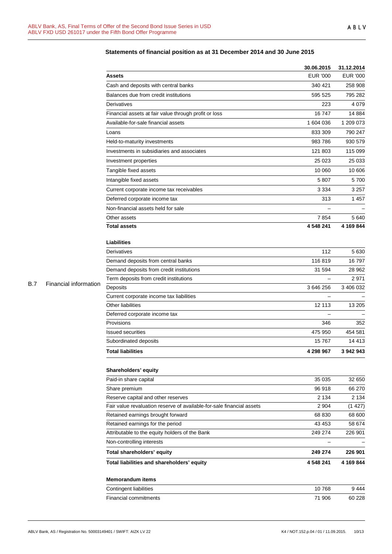|            |                       |                                                                       | 30.06.2015               | 31.12.2014      |
|------------|-----------------------|-----------------------------------------------------------------------|--------------------------|-----------------|
|            |                       | <b>Assets</b>                                                         | <b>EUR '000</b>          | <b>EUR '000</b> |
|            |                       | Cash and deposits with central banks                                  | 340 421                  | 258 908         |
|            |                       | Balances due from credit institutions                                 | 595 525                  | 795 282         |
|            |                       | Derivatives                                                           | 223                      | 4 0 7 9         |
|            |                       | Financial assets at fair value through profit or loss                 | 16747                    | 14 8 84         |
|            |                       | Available-for-sale financial assets                                   | 1 604 036                | 1 209 073       |
|            |                       | Loans                                                                 | 833 309                  | 790 247         |
|            |                       | Held-to-maturity investments                                          | 983 786                  | 930 579         |
|            |                       | Investments in subsidiaries and associates                            | 121 803                  | 115 099         |
|            |                       | Investment properties                                                 | 25 0 23                  | 25 033          |
|            |                       | Tangible fixed assets                                                 | 10 060                   | 10 606          |
|            |                       | Intangible fixed assets                                               | 5 807                    | 5700            |
|            |                       | Current corporate income tax receivables                              | 3 3 3 4                  | 3 2 5 7         |
|            |                       | Deferred corporate income tax                                         | 313                      | 1457            |
|            |                       | Non-financial assets held for sale                                    |                          |                 |
|            |                       | Other assets                                                          | 7854                     | 5640            |
|            |                       | <b>Total assets</b>                                                   | 4 548 241                | 4 169 844       |
|            |                       | <b>Liabilities</b>                                                    |                          |                 |
|            |                       | Derivatives                                                           | 112                      | 5 6 3 0         |
|            |                       | Demand deposits from central banks                                    | 116819                   | 16797           |
|            |                       | Demand deposits from credit institutions                              | 31 594                   | 28 962          |
|            |                       | Term deposits from credit institutions                                |                          | 2971            |
| <b>B.7</b> | Financial information | Deposits                                                              | 3 646 256                | 3 406 032       |
|            |                       | Current corporate income tax liabilities                              | $\overline{\phantom{0}}$ |                 |
|            |                       | Other liabilities                                                     | 12 113                   | 13 205          |
|            |                       | Deferred corporate income tax                                         |                          |                 |
|            |                       | Provisions                                                            | 346                      | 352             |
|            |                       | <b>Issued securities</b>                                              | 475 950                  | 454 581         |
|            |                       | Subordinated deposits                                                 | 15767                    | 14 4 13         |
|            |                       | <b>Total liabilities</b>                                              | 4 298 967                | 3 942 943       |
|            |                       | Shareholders' equity                                                  |                          |                 |
|            |                       | Paid-in share capital                                                 | 35 0 35                  | 32 650          |
|            |                       | Share premium                                                         | 96 918                   | 66 270          |
|            |                       | Reserve capital and other reserves                                    | 2 1 3 4                  | 2 1 3 4         |
|            |                       | Fair value revaluation reserve of available-for-sale financial assets | 2 9 0 4                  | (1427)          |
|            |                       | Retained earnings brought forward                                     | 68 830                   | 68 600          |
|            |                       | Retained earnings for the period                                      | 43 453                   | 58 674          |
|            |                       | Attributable to the equity holders of the Bank                        | 249 274                  | 226 901         |
|            |                       | Non-controlling interests                                             | $\qquad \qquad -$        |                 |
|            |                       | Total shareholders' equity                                            | 249 274                  | 226 901         |
|            |                       | Total liabilities and shareholders' equity                            | 4 548 241                | 4 169 844       |
|            |                       | <b>Memorandum items</b>                                               |                          |                 |
|            |                       | <b>Contingent liabilities</b>                                         | 10768                    | 9444            |
|            |                       | Financial commitments                                                 | 71 906                   | 60 228          |

# **Statements of financial position as at 31 December 2014 and 30 June 2015**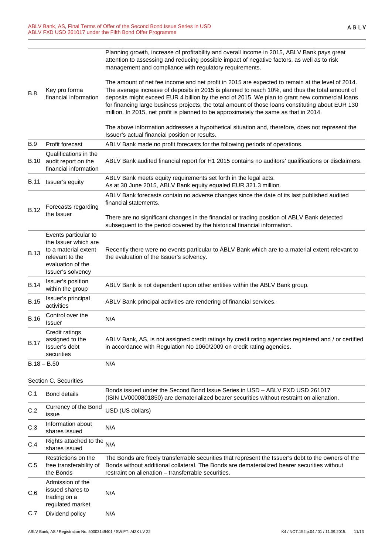|             |                                                                                                           | Planning growth, increase of profitability and overall income in 2015, ABLV Bank pays great<br>attention to assessing and reducing possible impact of negative factors, as well as to risk<br>management and compliance with regulatory requirements.                                                                                                                                                                                                                                             |
|-------------|-----------------------------------------------------------------------------------------------------------|---------------------------------------------------------------------------------------------------------------------------------------------------------------------------------------------------------------------------------------------------------------------------------------------------------------------------------------------------------------------------------------------------------------------------------------------------------------------------------------------------|
| <b>B.8</b>  | Key pro forma<br>financial information                                                                    | The amount of net fee income and net profit in 2015 are expected to remain at the level of 2014.<br>The average increase of deposits in 2015 is planned to reach 10%, and thus the total amount of<br>deposits might exceed EUR 4 billion by the end of 2015. We plan to grant new commercial loans<br>for financing large business projects, the total amount of those loans constituting about EUR 130<br>million. In 2015, net profit is planned to be approximately the same as that in 2014. |
|             |                                                                                                           | The above information addresses a hypothetical situation and, therefore, does not represent the<br>Issuer's actual financial position or results.                                                                                                                                                                                                                                                                                                                                                 |
| <b>B.9</b>  | Profit forecast                                                                                           | ABLV Bank made no profit forecasts for the following periods of operations.                                                                                                                                                                                                                                                                                                                                                                                                                       |
| <b>B.10</b> | Qualifications in the<br>audit report on the<br>financial information                                     | ABLV Bank audited financial report for H1 2015 contains no auditors' qualifications or disclaimers.                                                                                                                                                                                                                                                                                                                                                                                               |
| <b>B.11</b> | Issuer's equity                                                                                           | ABLV Bank meets equity requirements set forth in the legal acts.<br>As at 30 June 2015, ABLV Bank equity equaled EUR 321.3 million.                                                                                                                                                                                                                                                                                                                                                               |
| <b>B.12</b> | Forecasts regarding                                                                                       | ABLV Bank forecasts contain no adverse changes since the date of its last published audited<br>financial statements.                                                                                                                                                                                                                                                                                                                                                                              |
|             | the Issuer                                                                                                | There are no significant changes in the financial or trading position of ABLV Bank detected<br>subsequent to the period covered by the historical financial information.                                                                                                                                                                                                                                                                                                                          |
|             | Events particular to                                                                                      |                                                                                                                                                                                                                                                                                                                                                                                                                                                                                                   |
| <b>B.13</b> | the Issuer which are<br>to a material extent<br>relevant to the<br>evaluation of the<br>Issuer's solvency | Recently there were no events particular to ABLV Bank which are to a material extent relevant to<br>the evaluation of the Issuer's solvency.                                                                                                                                                                                                                                                                                                                                                      |
| <b>B.14</b> | Issuer's position<br>within the group                                                                     | ABLV Bank is not dependent upon other entities within the ABLV Bank group.                                                                                                                                                                                                                                                                                                                                                                                                                        |
| <b>B.15</b> | Issuer's principal<br>activities                                                                          | ABLV Bank principal activities are rendering of financial services.                                                                                                                                                                                                                                                                                                                                                                                                                               |
| <b>B.16</b> | Control over the<br><b>Issuer</b>                                                                         | N/A                                                                                                                                                                                                                                                                                                                                                                                                                                                                                               |
| <b>B.17</b> | Credit ratings<br>assigned to the<br>Issuer's debt<br>securities                                          | ABLV Bank, AS, is not assigned credit ratings by credit rating agencies registered and / or certified<br>in accordance with Regulation No 1060/2009 on credit rating agencies.                                                                                                                                                                                                                                                                                                                    |
|             | $B.18 - B.50$                                                                                             | N/A                                                                                                                                                                                                                                                                                                                                                                                                                                                                                               |
|             | Section C. Securities                                                                                     |                                                                                                                                                                                                                                                                                                                                                                                                                                                                                                   |
| C.1         | <b>Bond details</b>                                                                                       | Bonds issued under the Second Bond Issue Series in USD - ABLV FXD USD 261017<br>(ISIN LV0000801850) are dematerialized bearer securities without restraint on alienation.                                                                                                                                                                                                                                                                                                                         |
| C.2         | Currency of the Bond<br>issue                                                                             | USD (US dollars)                                                                                                                                                                                                                                                                                                                                                                                                                                                                                  |
| C.3         | Information about<br>shares issued                                                                        | N/A                                                                                                                                                                                                                                                                                                                                                                                                                                                                                               |
| C.4         | Rights attached to the<br>shares issued                                                                   | N/A                                                                                                                                                                                                                                                                                                                                                                                                                                                                                               |
| C.5         | Restrictions on the<br>free transferability of<br>the Bonds                                               | The Bonds are freely transferrable securities that represent the Issuer's debt to the owners of the<br>Bonds without additional collateral. The Bonds are dematerialized bearer securities without<br>restraint on alienation – transferrable securities.                                                                                                                                                                                                                                         |
| C.6         | Admission of the<br>issued shares to<br>trading on a<br>regulated market                                  | N/A                                                                                                                                                                                                                                                                                                                                                                                                                                                                                               |
| C.7         | Dividend policy                                                                                           | N/A                                                                                                                                                                                                                                                                                                                                                                                                                                                                                               |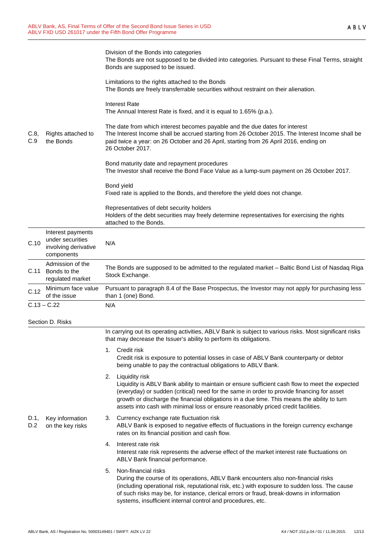| C.8,<br>C.9      | Rights attached to<br>the Bonds                                             | Division of the Bonds into categories<br>The Bonds are not supposed to be divided into categories. Pursuant to these Final Terms, straight<br>Bonds are supposed to be issued.<br>Limitations to the rights attached to the Bonds<br>The Bonds are freely transferrable securities without restraint on their alienation.<br><b>Interest Rate</b><br>The Annual Interest Rate is fixed, and it is equal to 1.65% (p.a.).<br>The date from which interest becomes payable and the due dates for interest<br>The Interest Income shall be accrued starting from 26 October 2015. The Interest Income shall be<br>paid twice a year: on 26 October and 26 April, starting from 26 April 2016, ending on<br>26 October 2017.<br>Bond maturity date and repayment procedures<br>The Investor shall receive the Bond Face Value as a lump-sum payment on 26 October 2017.<br>Bond yield<br>Fixed rate is applied to the Bonds, and therefore the yield does not change.<br>Representatives of debt security holders<br>Holders of the debt securities may freely determine representatives for exercising the rights |  |  |
|------------------|-----------------------------------------------------------------------------|----------------------------------------------------------------------------------------------------------------------------------------------------------------------------------------------------------------------------------------------------------------------------------------------------------------------------------------------------------------------------------------------------------------------------------------------------------------------------------------------------------------------------------------------------------------------------------------------------------------------------------------------------------------------------------------------------------------------------------------------------------------------------------------------------------------------------------------------------------------------------------------------------------------------------------------------------------------------------------------------------------------------------------------------------------------------------------------------------------------|--|--|
|                  |                                                                             | attached to the Bonds.                                                                                                                                                                                                                                                                                                                                                                                                                                                                                                                                                                                                                                                                                                                                                                                                                                                                                                                                                                                                                                                                                         |  |  |
| C.10             | Interest payments<br>under securities<br>involving derivative<br>components | N/A                                                                                                                                                                                                                                                                                                                                                                                                                                                                                                                                                                                                                                                                                                                                                                                                                                                                                                                                                                                                                                                                                                            |  |  |
| C.11             | Admission of the<br>Bonds to the<br>regulated market                        | The Bonds are supposed to be admitted to the regulated market - Baltic Bond List of Nasdaq Riga<br>Stock Exchange.                                                                                                                                                                                                                                                                                                                                                                                                                                                                                                                                                                                                                                                                                                                                                                                                                                                                                                                                                                                             |  |  |
| C.12             | Minimum face value<br>of the issue                                          | Pursuant to paragraph 8.4 of the Base Prospectus, the Investor may not apply for purchasing less<br>than 1 (one) Bond.                                                                                                                                                                                                                                                                                                                                                                                                                                                                                                                                                                                                                                                                                                                                                                                                                                                                                                                                                                                         |  |  |
|                  | $C.13 - C.22$                                                               | N/A                                                                                                                                                                                                                                                                                                                                                                                                                                                                                                                                                                                                                                                                                                                                                                                                                                                                                                                                                                                                                                                                                                            |  |  |
| Section D. Risks |                                                                             |                                                                                                                                                                                                                                                                                                                                                                                                                                                                                                                                                                                                                                                                                                                                                                                                                                                                                                                                                                                                                                                                                                                |  |  |
|                  |                                                                             | In carrying out its operating activities, ABLV Bank is subject to various risks. Most significant risks<br>that may decrease the Issuer's ability to perform its obligations.                                                                                                                                                                                                                                                                                                                                                                                                                                                                                                                                                                                                                                                                                                                                                                                                                                                                                                                                  |  |  |
|                  |                                                                             | 1. Credit risk<br>Credit risk is exposure to potential losses in case of ABLV Bank counterparty or debtor<br>being unable to pay the contractual obligations to ABLV Bank.                                                                                                                                                                                                                                                                                                                                                                                                                                                                                                                                                                                                                                                                                                                                                                                                                                                                                                                                     |  |  |
|                  |                                                                             | Liquidity risk<br>2.<br>Liquidity is ABLV Bank ability to maintain or ensure sufficient cash flow to meet the expected<br>(everyday) or sudden (critical) need for the same in order to provide financing for asset<br>growth or discharge the financial obligations in a due time. This means the ability to turn<br>assets into cash with minimal loss or ensure reasonably priced credit facilities.                                                                                                                                                                                                                                                                                                                                                                                                                                                                                                                                                                                                                                                                                                        |  |  |
| D.1,<br>D.2      | Key information<br>on the key risks                                         | Currency exchange rate fluctuation risk<br>3.<br>ABLV Bank is exposed to negative effects of fluctuations in the foreign currency exchange<br>rates on its financial position and cash flow.                                                                                                                                                                                                                                                                                                                                                                                                                                                                                                                                                                                                                                                                                                                                                                                                                                                                                                                   |  |  |
|                  |                                                                             | Interest rate risk<br>4.<br>Interest rate risk represents the adverse effect of the market interest rate fluctuations on<br>ABLV Bank financial performance.                                                                                                                                                                                                                                                                                                                                                                                                                                                                                                                                                                                                                                                                                                                                                                                                                                                                                                                                                   |  |  |
|                  |                                                                             | Non-financial risks<br>5.<br>During the course of its operations, ABLV Bank encounters also non-financial risks<br>(including operational risk, reputational risk, etc.) with exposure to sudden loss. The cause<br>of such risks may be, for instance, clerical errors or fraud, break-downs in information<br>systems, insufficient internal control and procedures, etc.                                                                                                                                                                                                                                                                                                                                                                                                                                                                                                                                                                                                                                                                                                                                    |  |  |